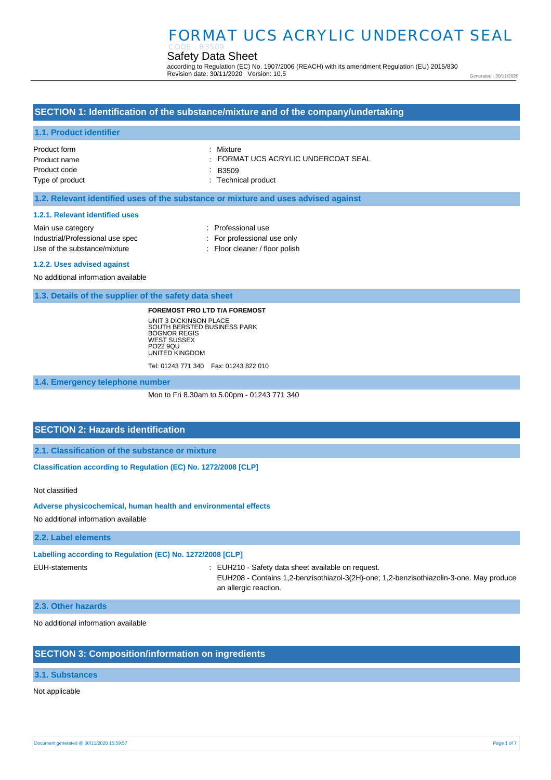#### Safety Data Sheet CODE : B3509

according to Regulation (EC) No. 1907/2006 (REACH) with its amendment Regulation (EU) 2015/830 Revision date: 30/11/2020 Version: 10.5

Generated : 30/11/2020

## **SECTION 1: Identification of the substance/mixture and of the company/undertaking**

#### **1.1. Product identifier**

Product form Product name Product code Type of product : Mixture

: FORMAT UCS ACRYLIC UNDERCOAT SEAL

: B3509

: Technical product

### **1.2. Relevant identified uses of the substance or mixture and uses advised against**

#### **1.2.1. Relevant identified uses**

Main use category **interest and the COV** and the Professional use Industrial/Professional use spec : For professional use only Use of the substance/mixture : Floor cleaner / floor polish

#### **1.2.2. Uses advised against**

No additional information available

#### **1.3. Details of the supplier of the safety data sheet**

#### **FOREMOST PRO LTD T/A FOREMOST**

UNIT 3 DICKINSON PLACE SOUTH BERSTED BUSINESS PARK BOGNOR REGIS WEST SUSSEX PO22 9QU UNITED KINGDOM Tel: 01243 771 340 Fax: 01243 822 010

**1.4. Emergency telephone number**

Mon to Fri 8.30am to 5.00pm - 01243 771 340

## **SECTION 2: Hazards identification**

**2.1. Classification of the substance or mixture**

**Classification according to Regulation (EC) No. 1272/2008 [CLP]** 

Not classified

#### **Adverse physicochemical, human health and environmental effects**

No additional information available

#### **2.2. Label elements**

#### **Labelling according to Regulation (EC) No. 1272/2008 [CLP]**

EUH-statements : EUH210 - Safety data sheet available on request.

EUH208 - Contains 1,2-benzisothiazol-3(2H)-one; 1,2-benzisothiazolin-3-one. May produce an allergic reaction.

#### **2.3. Other hazards**

No additional information available

## **SECTION 3: Composition/information on ingredients**

### **3.1. Substances**

Not applicable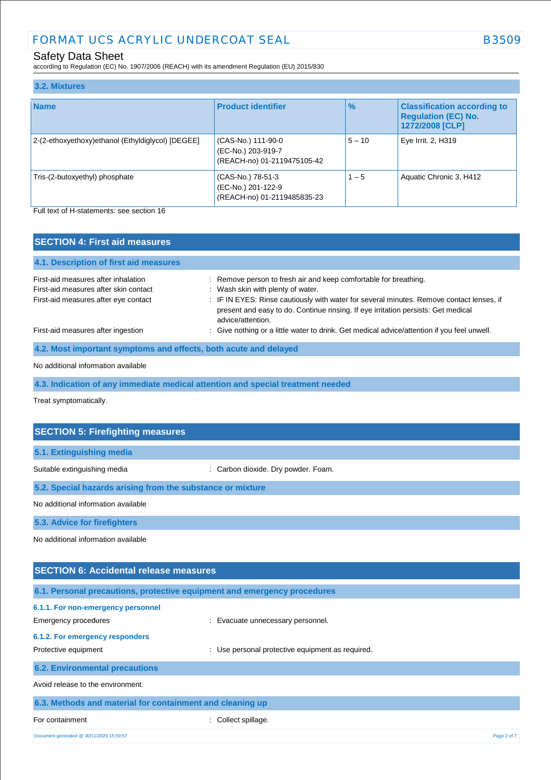## Safety Data Sheet

according to Regulation (EC) No. 1907/2006 (REACH) with its amendment Regulation (EU) 2015/830

| 3.2. Mixtures                                     |                                                                         |               |                                                                                     |
|---------------------------------------------------|-------------------------------------------------------------------------|---------------|-------------------------------------------------------------------------------------|
| <b>Name</b>                                       | <b>Product identifier</b>                                               | $\frac{9}{6}$ | <b>Classification according to</b><br><b>Regulation (EC) No.</b><br>1272/2008 [CLP] |
| 2-(2-ethoxyethoxy)ethanol (Ethyldiglycol) [DEGEE] | (CAS-No.) 111-90-0<br>(EC-No.) 203-919-7<br>(REACH-no) 01-2119475105-42 | $5 - 10$      | Eye Irrit. 2, H319                                                                  |
| Tris-(2-butoxyethyl) phosphate                    | (CAS-No.) 78-51-3<br>(EC-No.) 201-122-9<br>(REACH-no) 01-2119485835-23  | $1 - 5$       | Aquatic Chronic 3, H412                                                             |

Full text of H-statements: see section 16

| <b>SECTION 4: First aid measures</b>                                                                                 |                                                                                                                                                                                                                                                                                        |
|----------------------------------------------------------------------------------------------------------------------|----------------------------------------------------------------------------------------------------------------------------------------------------------------------------------------------------------------------------------------------------------------------------------------|
| 4.1. Description of first aid measures                                                                               |                                                                                                                                                                                                                                                                                        |
| First-aid measures after inhalation<br>First-aid measures after skin contact<br>First-aid measures after eye contact | : Remove person to fresh air and keep comfortable for breathing.<br>: Wash skin with plenty of water.<br>: IF IN EYES: Rinse cautiously with water for several minutes. Remove contact lenses, if<br>present and easy to do. Continue rinsing. If eye irritation persists: Get medical |
| First-aid measures after ingestion                                                                                   | advice/attention.<br>: Give nothing or a little water to drink. Get medical advice/attention if you feel unwell.                                                                                                                                                                       |
| 4.2. Most important symptoms and effects, both acute and delayed                                                     |                                                                                                                                                                                                                                                                                        |

### No additional information available

**4.3. Indication of any immediate medical attention and special treatment needed**

Treat symptomatically.

| <b>SECTION 5: Firefighting measures</b>                                  |                                                      |
|--------------------------------------------------------------------------|------------------------------------------------------|
| 5.1. Extinguishing media                                                 |                                                      |
| Suitable extinguishing media                                             | : Carbon dioxide. Dry powder. Foam.                  |
| 5.2. Special hazards arising from the substance or mixture               |                                                      |
| No additional information available                                      |                                                      |
| 5.3. Advice for firefighters                                             |                                                      |
| No additional information available                                      |                                                      |
|                                                                          |                                                      |
| <b>SECTION 6: Accidental release measures</b>                            |                                                      |
|                                                                          |                                                      |
| 6.1. Personal precautions, protective equipment and emergency procedures |                                                      |
| 6.1.1. For non-emergency personnel                                       |                                                      |
| <b>Emergency procedures</b>                                              | Evacuate unnecessary personnel.                      |
| 6.1.2. For emergency responders                                          |                                                      |
| Protective equipment                                                     | Use personal protective equipment as required.<br>÷. |
| <b>6.2. Environmental precautions</b>                                    |                                                      |

| For containment<br>: Collect spillage. | 6.3. Methods and material for containment and cleaning up |  |  |  |  |  |
|----------------------------------------|-----------------------------------------------------------|--|--|--|--|--|
|                                        |                                                           |  |  |  |  |  |

Document generated @ 30/11/2020 15:59:57 Page 2 of 7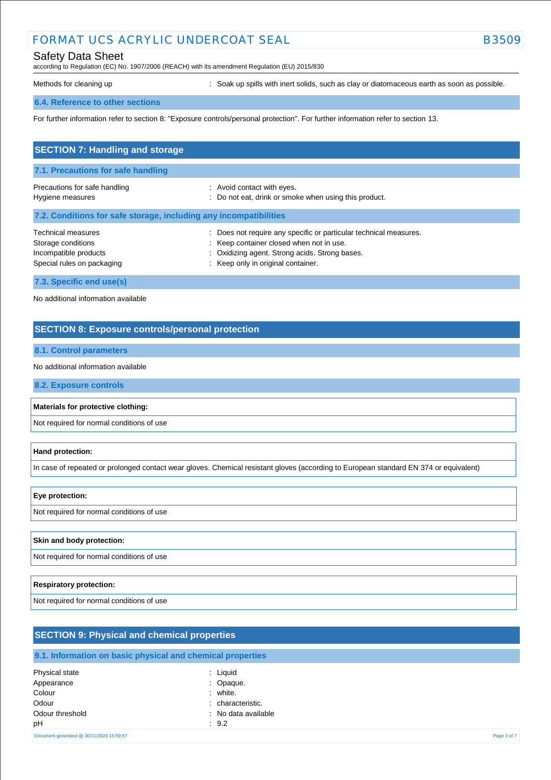## Safety Data Sheet

according to Regulation (EC) No. 1907/2006 (REACH) with its amendment Regulation (EU) 2015/830

Methods for cleaning up example of the spills with inert solids, such as clay or diatomaceous earth as soon as possible.

#### **6.4. Reference to other sections**

For further information refer to section 8: "Exposure controls/personal protection". For further information refer to section 13.

| <b>SECTION 7: Handling and storage</b>                                                                 |                                                                                                                                                                                                       |  |
|--------------------------------------------------------------------------------------------------------|-------------------------------------------------------------------------------------------------------------------------------------------------------------------------------------------------------|--|
| 7.1. Precautions for safe handling                                                                     |                                                                                                                                                                                                       |  |
| Precautions for safe handling<br>Hygiene measures                                                      | : Avoid contact with eyes.<br>: Do not eat, drink or smoke when using this product.                                                                                                                   |  |
| 7.2. Conditions for safe storage, including any incompatibilities                                      |                                                                                                                                                                                                       |  |
| <b>Technical measures</b><br>Storage conditions<br>Incompatible products<br>Special rules on packaging | : Does not require any specific or particular technical measures.<br>: Keep container closed when not in use.<br>: Oxidizing agent. Strong acids. Strong bases.<br>: Keep only in original container. |  |
| 7.3. Specific end use(s)                                                                               |                                                                                                                                                                                                       |  |

No additional information available

## **SECTION 8: Exposure controls/personal protection**

#### **8.1. Control parameters**

No additional information available

**8.2. Exposure controls**

**Materials for protective clothing:**

Not required for normal conditions of use

#### **Hand protection:**

In case of repeated or prolonged contact wear gloves. Chemical resistant gloves (according to European standard EN 374 or equivalent)

#### **Eye protection:**

Not required for normal conditions of use

#### **Skin and body protection:**

Not required for normal conditions of use

#### **Respiratory protection:**

Not required for normal conditions of use

## **SECTION 9: Physical and chemical properties**

## **9.1. Information on basic physical and chemical properties**

| Physical state                           | : Liquid            |             |
|------------------------------------------|---------------------|-------------|
| Appearance                               | : Opaque.           |             |
| Colour                                   | : white.            |             |
| Odour                                    | : characteristic.   |             |
| Odour threshold                          | : No data available |             |
| pН                                       | : 9.2               |             |
| Document generated @ 30/11/2020 15:59:57 |                     | Page 3 of 7 |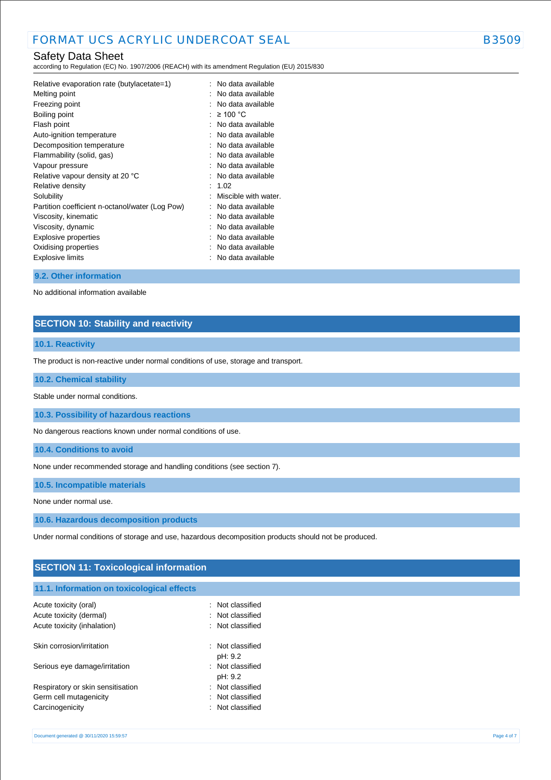## Safety Data Sheet

according to Regulation (EC) No. 1907/2006 (REACH) with its amendment Regulation (EU) 2015/830

| Relative evaporation rate (butylacetate=1)      | No data available    |
|-------------------------------------------------|----------------------|
| Melting point                                   | No data available    |
| Freezing point                                  | No data available    |
| Boiling point                                   | $\geq 100$ °C        |
| Flash point                                     | No data available    |
| Auto-ignition temperature                       | No data available    |
| Decomposition temperature                       | No data available    |
| Flammability (solid, gas)                       | No data available    |
| Vapour pressure                                 | No data available    |
| Relative vapour density at 20 °C                | No data available    |
| Relative density                                | 1.02                 |
| Solubility                                      | Miscible with water. |
| Partition coefficient n-octanol/water (Log Pow) | No data available    |
| Viscosity, kinematic                            | No data available    |
| Viscosity, dynamic                              | No data available    |
| <b>Explosive properties</b>                     | No data available    |
| Oxidising properties                            | No data available    |
| Explosive limits                                | No data available    |
|                                                 |                      |

#### **9.2. Other information**

No additional information available

## **SECTION 10: Stability and reactivity**

### **10.1. Reactivity**

The product is non-reactive under normal conditions of use, storage and transport.

#### **10.2. Chemical stability**

Stable under normal conditions.

**10.3. Possibility of hazardous reactions**

No dangerous reactions known under normal conditions of use.

**10.4. Conditions to avoid**

None under recommended storage and handling conditions (see section 7).

**10.5. Incompatible materials**

None under normal use.

**10.6. Hazardous decomposition products**

Under normal conditions of storage and use, hazardous decomposition products should not be produced.

## **SECTION 11: Toxicological information**

## **11.1. Information on toxicological effects** Acute toxicity (oral) **Example 20** Acute toxicity (oral)

| Acute toxicity (dermal)<br>Acute toxicity (inhalation) | : Not classified<br>: Not classified |
|--------------------------------------------------------|--------------------------------------|
| Skin corrosion/irritation                              | : Not classified<br>pH: 9.2          |
| Serious eye damage/irritation                          | : Not classified<br>pH: 9.2          |
| Respiratory or skin sensitisation                      | : Not classified                     |
| Germ cell mutagenicity                                 | : Not classified                     |
| Carcinogenicity                                        | : Not classified                     |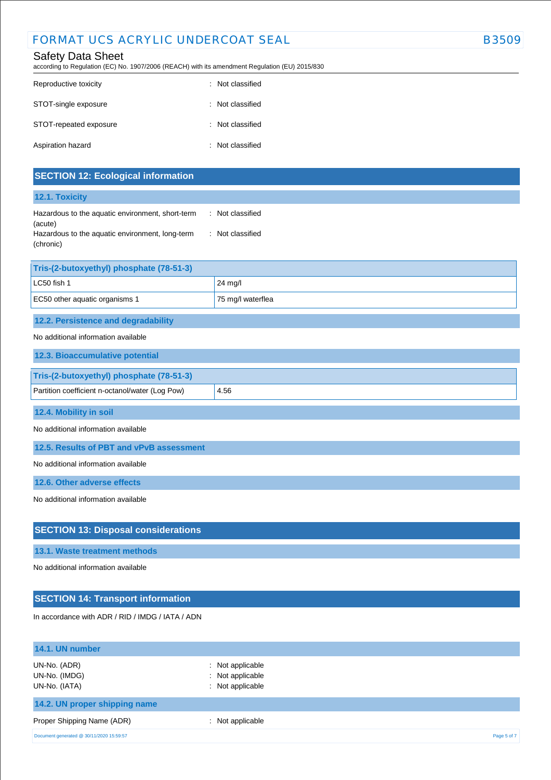## Safety Data Sheet

according to Regulation (EC) No. 1907/2006 (REACH) with its amendment Regulation (EU) 2015/830

| Reproductive toxicity  | : Not classified |
|------------------------|------------------|
| STOT-single exposure   | : Not classified |
| STOT-repeated exposure | : Not classified |
| Aspiration hazard      | : Not classified |

| <b>SECTION 12: Ecological information</b>                    |                   |
|--------------------------------------------------------------|-------------------|
| 12.1. Toxicity                                               |                   |
| Hazardous to the aquatic environment, short-term<br>(acute)  | : Not classified  |
| Hazardous to the aquatic environment, long-term<br>(chronic) | : Not classified  |
| Tris-(2-butoxyethyl) phosphate (78-51-3)                     |                   |
| LC50 fish 1                                                  | 24 mg/l           |
| EC50 other aquatic organisms 1                               | 75 mg/l waterflea |
| 12.2. Persistence and degradability                          |                   |
| No additional information available                          |                   |
| 12.3. Bioaccumulative potential                              |                   |
| Tris-(2-butoxyethyl) phosphate (78-51-3)                     |                   |
| Partition coefficient n-octanol/water (Log Pow)              | 4.56              |
| 12.4. Mobility in soil                                       |                   |
| No additional information available                          |                   |
| 12.5. Results of PBT and vPvB assessment                     |                   |
| No additional information available                          |                   |
| 12.6. Other adverse effects                                  |                   |
| No additional information available                          |                   |
| <b>SECTION 13: Disposal considerations</b>                   |                   |
| 13.1. Waste treatment methods                                |                   |

No additional information available

## **SECTION 14: Transport information**

In accordance with ADR / RID / IMDG / IATA / ADN

| 14.1. UN number                                |                                                          |             |
|------------------------------------------------|----------------------------------------------------------|-------------|
| UN-No. (ADR)<br>UN-No. (IMDG)<br>UN-No. (IATA) | : Not applicable<br>: Not applicable<br>: Not applicable |             |
| 14.2. UN proper shipping name                  |                                                          |             |
| Proper Shipping Name (ADR)                     | Not applicable                                           |             |
| Document generated @ 30/11/2020 15:59:57       |                                                          | Page 5 of 7 |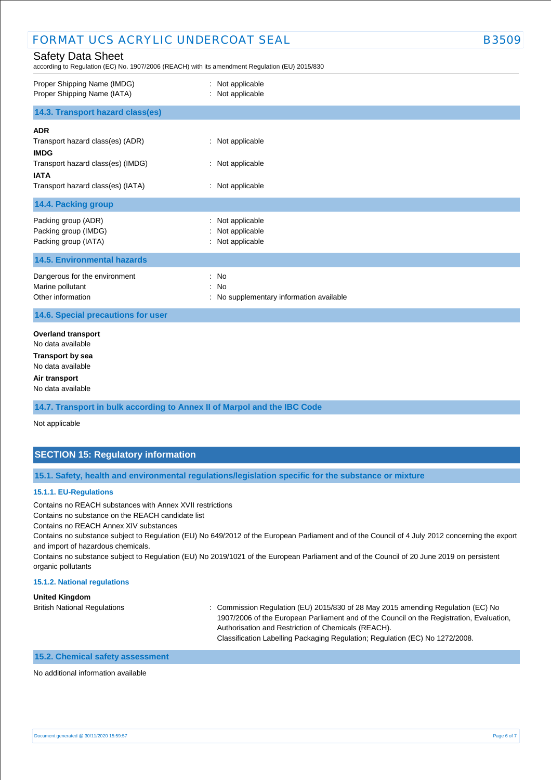## FORMAT UCS ACRYLIC UNDERCOAT SEAL **Example 19 and SSSSS**

### Safety Data Sheet

according to Regulation (EC) No. 1907/2006 (REACH) with its amendment Regulation (EU) 2015/830

| Proper Shipping Name (IMDG)<br>Proper Shipping Name (IATA)                                                                                             | : Not applicable<br>: Not applicable                     |
|--------------------------------------------------------------------------------------------------------------------------------------------------------|----------------------------------------------------------|
| 14.3. Transport hazard class(es)                                                                                                                       |                                                          |
| <b>ADR</b><br>Transport hazard class(es) (ADR)<br><b>IMDG</b><br>Transport hazard class(es) (IMDG)<br><b>IATA</b><br>Transport hazard class(es) (IATA) | : Not applicable<br>: Not applicable<br>: Not applicable |
| 14.4. Packing group                                                                                                                                    |                                                          |
| Packing group (ADR)<br>Packing group (IMDG)<br>Packing group (IATA)                                                                                    | Not applicable<br>Not applicable<br>: Not applicable     |
| <b>14.5. Environmental hazards</b>                                                                                                                     |                                                          |
| Dangerous for the environment<br>Marine pollutant<br>Other information                                                                                 | : No<br>: No<br>No supplementary information available   |
| 14.6. Special precautions for user                                                                                                                     |                                                          |
| <b>Overland transport</b><br>No data available<br><b>Transport by sea</b><br>No data available<br>Air transport<br>No data available                   |                                                          |

**14.7. Transport in bulk according to Annex II of Marpol and the IBC Code**

Not applicable

## **SECTION 15: Regulatory information**

**15.1. Safety, health and environmental regulations/legislation specific for the substance or mixture**

#### **15.1.1. EU-Regulations**

Contains no REACH substances with Annex XVII restrictions

Contains no substance on the REACH candidate list

Contains no REACH Annex XIV substances

Contains no substance subject to Regulation (EU) No 649/2012 of the European Parliament and of the Council of 4 July 2012 concerning the export and import of hazardous chemicals.

Contains no substance subject to Regulation (EU) No 2019/1021 of the European Parliament and of the Council of 20 June 2019 on persistent organic pollutants

#### **15.1.2. National regulations**

**United Kingdom**

British National Regulations : Commission Regulation (EU) 2015/830 of 28 May 2015 amending Regulation (EC) No 1907/2006 of the European Parliament and of the Council on the Registration, Evaluation, Authorisation and Restriction of Chemicals (REACH). Classification Labelling Packaging Regulation; Regulation (EC) No 1272/2008.

#### **15.2. Chemical safety assessment**

No additional information available